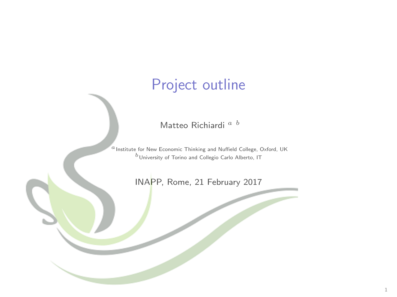# Project outline

Matteo Richiardi <sup>a b</sup>

 $a$  Institute for New Economic Thinking and Nuffield College, Oxford, UK  $b$  University of Torino and Collegio Carlo Alberto, IT

INAPP, Rome, 21 February 2017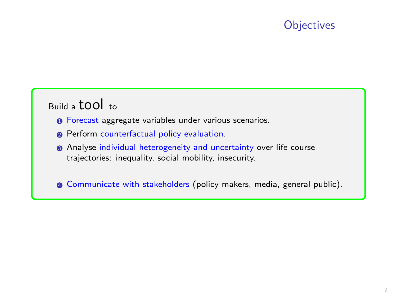# **Objectives**

# Build a tool to

- **0** Forecast aggregate variables under various scenarios.
- <sup>2</sup> Perform counterfactual policy evaluation.
- <sup>3</sup> Analyse individual heterogeneity and uncertainty over life course trajectories: inequality, social mobility, insecurity.

<sup>4</sup> Communicate with stakeholders (policy makers, media, general public).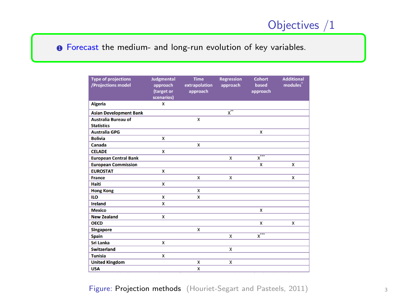# Objectives /1

**O** Forecast the medium- and long-run evolution of key variables.

| <b>Type of projections</b><br>/Projections model | <b>Judgmental</b><br>approach<br>(target or<br>scenarios) | <b>Time</b><br>extrapolation<br>approach | <b>Regression</b><br>approach | Cohort<br>based<br>approach      | <b>Additional</b><br>modules <sup>*</sup> |
|--------------------------------------------------|-----------------------------------------------------------|------------------------------------------|-------------------------------|----------------------------------|-------------------------------------------|
| <b>Algeria</b>                                   | x                                                         |                                          |                               |                                  |                                           |
| <b>Asian Development Bank</b>                    |                                                           |                                          | $\overline{x}$                |                                  |                                           |
| <b>Australia Bureau of</b>                       |                                                           | X                                        |                               |                                  |                                           |
| <b>Statistics</b>                                |                                                           |                                          |                               |                                  |                                           |
| <b>Australia GPG</b>                             |                                                           |                                          |                               | x                                |                                           |
| <b>Bolivia</b>                                   | X                                                         |                                          |                               |                                  |                                           |
| Canada                                           |                                                           | x                                        |                               |                                  |                                           |
| <b>CELADE</b>                                    | x                                                         |                                          |                               |                                  |                                           |
| <b>European Central Bank</b>                     |                                                           |                                          | X                             | $\overline{\mathbf{x}}^{\cdots}$ |                                           |
| <b>European Commission</b>                       |                                                           |                                          |                               | X                                | x                                         |
| <b>EUROSTAT</b>                                  | $\mathbf x$                                               |                                          |                               |                                  |                                           |
| <b>France</b>                                    |                                                           | x                                        | X                             |                                  | X                                         |
| Haiti                                            | x                                                         |                                          |                               |                                  |                                           |
| <b>Hong Kong</b>                                 |                                                           | x                                        |                               |                                  |                                           |
| <b>ILO</b>                                       | X                                                         | x                                        |                               |                                  |                                           |
| <b>Ireland</b>                                   | x                                                         |                                          |                               |                                  |                                           |
| <b>Mexico</b>                                    |                                                           |                                          |                               | x                                |                                           |
| <b>New Zealand</b>                               | x                                                         |                                          |                               |                                  |                                           |
| <b>OECD</b>                                      |                                                           |                                          |                               | x                                | $\overline{\mathbf{x}}$                   |
| <b>Singapore</b>                                 |                                                           | x                                        |                               |                                  |                                           |
| <b>Spain</b>                                     |                                                           |                                          | X                             | $\overline{\mathbf{X}}^{***}$    |                                           |
| <b>Sri Lanka</b>                                 | $\mathbf x$                                               |                                          |                               |                                  |                                           |
| <b>Switzerland</b>                               |                                                           |                                          | X                             |                                  |                                           |
| <b>Tunisia</b>                                   | x                                                         |                                          |                               |                                  |                                           |
| <b>United Kingdom</b>                            |                                                           | X                                        | X                             |                                  |                                           |
| <b>USA</b>                                       |                                                           | X                                        |                               |                                  |                                           |

Figure: Projection methods (Houriet-Segart and Pasteels, 2011) 3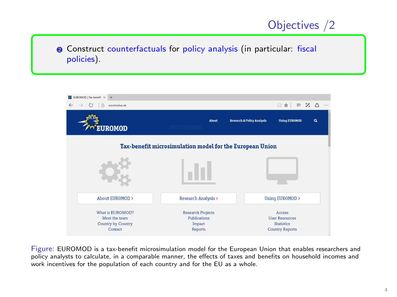# Objectives /2

**2** Construct counterfactuals for policy analysis (in particular: fiscal policies).



Figure: EUROMOD is a tax-benefit microsimulation model for the European Union that enables researchers and policy analysts to calculate, in a comparable manner, the effects of taxes and benefits on household incomes and work incentives for the population of each country and for the EU as a whole.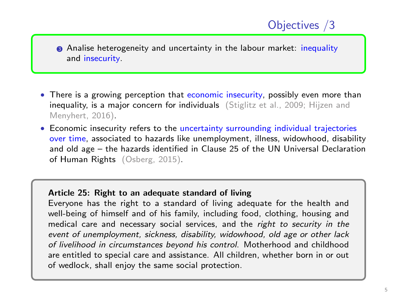**3** Analise heterogeneity and uncertainty in the labour market: *inequality* and insecurity.

- There is a growing perception that economic insecurity, possibly even more than inequality, is a major concern for individuals (Stiglitz et al., 2009; Hijzen and Menyhert, 2016).
- Economic insecurity refers to the uncertainty surrounding individual trajectories over time, associated to hazards like unemployment, illness, widowhood, disability and old age – the hazards identified in Clause 25 of the UN Universal Declaration of Human Rights (Osberg, 2015).

#### Article 25: Right to an adequate standard of living

Everyone has the right to a standard of living adequate for the health and well-being of himself and of his family, including food, clothing, housing and medical care and necessary social services, and the right to security in the event of unemployment, sickness, disability, widowhood, old age or other lack of livelihood in circumstances beyond his control. Motherhood and childhood are entitled to special care and assistance. All children, whether born in or out of wedlock, shall enjoy the same social protection.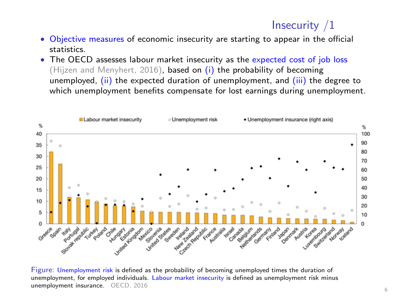# Insecurity /1

- Objective measures of economic insecurity are starting to appear in the official statistics.
- The OECD assesses labour market insecurity as the expected cost of job loss (Hijzen and Menyhert, 2016), based on  $(i)$  the probability of becoming unemployed, (ii) the expected duration of unemployment, and (iii) the degree to which unemployment benefits compensate for lost earnings during unemployment.



Figure: Unemployment risk is defined as the probability of becoming unemployed times the duration of unemployment, for employed individuals. Labour market insecurity is defined as unemployment risk minus unemployment insurance. OECD, 2016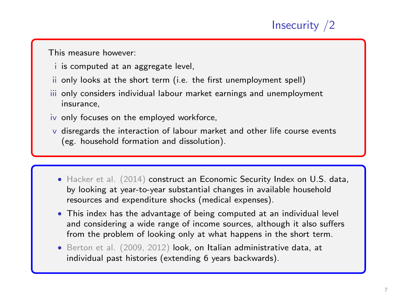# Insecurity /2

This measure however:

- i is computed at an aggregate level,
- ii only looks at the short term (i.e. the first unemployment spell)
- iii only considers individual labour market earnings and unemployment insurance,
- iv only focuses on the employed workforce,
- v disregards the interaction of labour market and other life course events (eg. household formation and dissolution).
	- Hacker et al. (2014) construct an Economic Security Index on U.S. data, by looking at year-to-year substantial changes in available household resources and expenditure shocks (medical expenses).
	- This index has the advantage of being computed at an individual level and considering a wide range of income sources, although it also suffers from the problem of looking only at what happens in the short term.
	- Berton et al. (2009, 2012) look, on Italian administrative data, at individual past histories (extending 6 years backwards).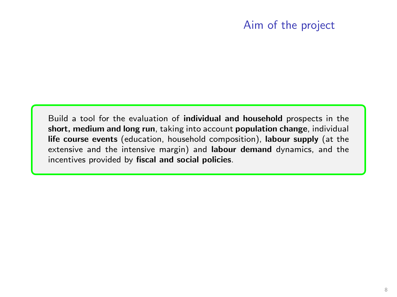## Aim of the project

Build a tool for the evaluation of individual and household prospects in the short, medium and long run, taking into account population change, individual life course events (education, household composition), labour supply (at the extensive and the intensive margin) and labour demand dynamics, and the incentives provided by fiscal and social policies.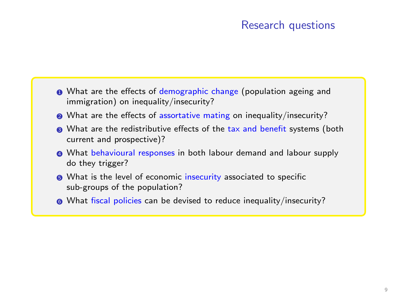### Research questions

- **1** What are the effects of demographic change (population ageing and immigration) on inequality/insecurity?
- What are the effects of assortative mating on inequality/insecurity?
- <sup>3</sup> What are the redistributive effects of the tax and benefit systems (both current and prospective)?
- <sup>4</sup> What behavioural responses in both labour demand and labour supply do they trigger?
- **6** What is the level of economic insecurity associated to specific sub-groups of the population?
- **6** What fiscal policies can be devised to reduce inequality/insecurity?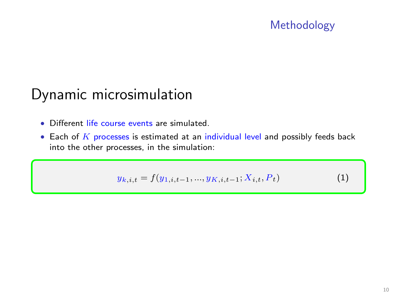# Methodology

# Dynamic microsimulation

- Different life course events are simulated.
- $\bullet$  Each of  $K$  processes is estimated at an individual level and possibly feeds back into the other processes, in the simulation:

$$
y_{k,i,t} = f(y_{1,i,t-1}, \dots, y_{K,i,t-1}; X_{i,t}, P_t)
$$
\n<sup>(1)</sup>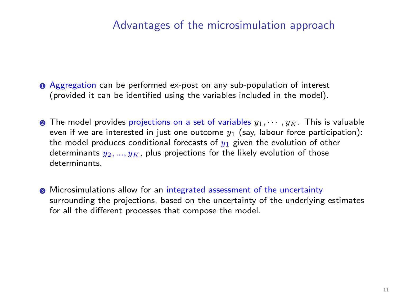#### Advantages of the microsimulation approach

- **1** Aggregation can be performed ex-post on any sub-population of interest (provided it can be identified using the variables included in the model).
- **2** The model provides projections on a set of variables  $y_1, \dots, y_K$ . This is valuable even if we are interested in just one outcome  $y_1$  (say, labour force participation): the model produces conditional forecasts of  $y_1$  given the evolution of other determinants  $y_2, ..., y_K$ , plus projections for the likely evolution of those determinants.
- $\odot$  Microsimulations allow for an integrated assessment of the uncertainty surrounding the projections, based on the uncertainty of the underlying estimates for all the different processes that compose the model.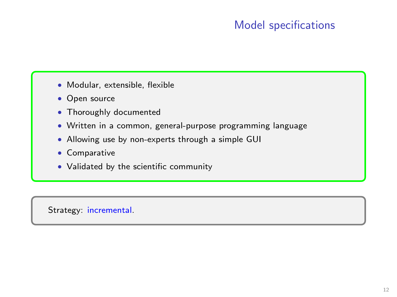# Model specifications

- Modular, extensible, flexible
- Open source
- Thoroughly documented
- Written in a common, general-purpose programming language
- Allowing use by non-experts through a simple GUI
- Comparative
- Validated by the scientific community

Strategy: incremental.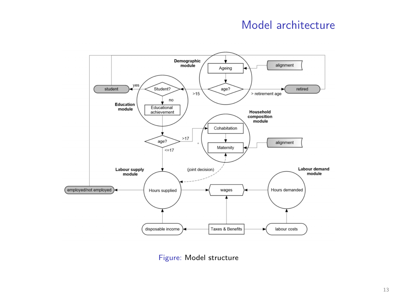## Model architecture



Figure: Model structure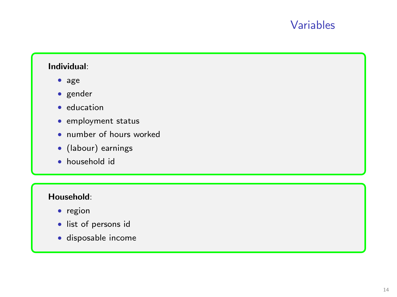### Variables

#### Individual:

- age
- gender
- education
- employment status
- number of hours worked
- (labour) earnings
- household id

#### Household:

- region
- list of persons id
- disposable income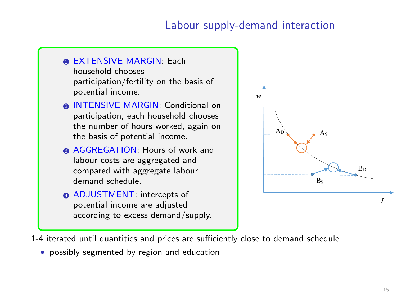### Labour supply-demand interaction

**n EXTENSIVE MARGIN: Each** household chooses participation/fertility on the basis of potential income.

- **A INTENSIVE MARGIN: Conditional on** participation, each household chooses the number of hours worked, again on the basis of potential income.
- **AGGREGATION: Hours of work and** labour costs are aggregated and compared with aggregate labour demand schedule.
- **ADJUSTMENT:** intercepts of potential income are adjusted according to excess demand/supply.



1-4 iterated until quantities and prices are sufficiently close to demand schedule.

• possibly segmented by region and education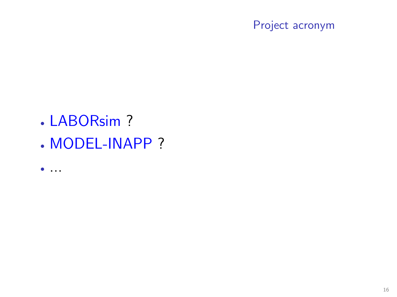Project acronym

- LABORsim ?
- MODEL-INAPP ?
- ...